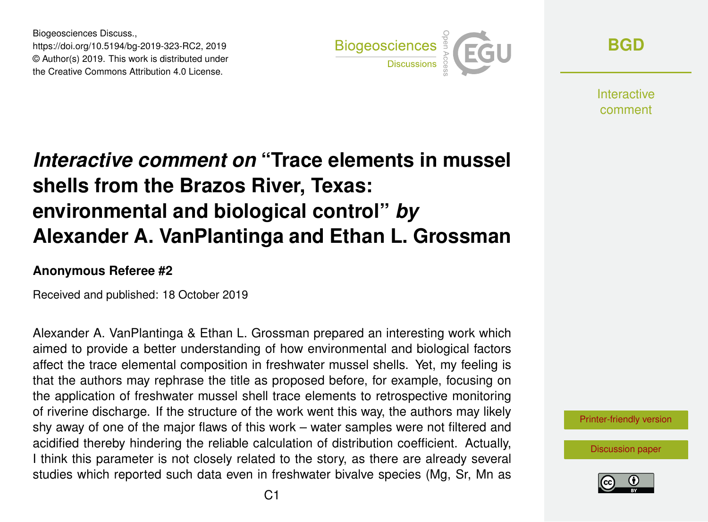Biogeosciences Discuss., https://doi.org/10.5194/bg-2019-323-RC2, 2019 © Author(s) 2019. This work is distributed under the Creative Commons Attribution 4.0 License.



**[BGD](https://www.biogeosciences-discuss.net/)**

**Interactive** comment

## *Interactive comment on* **"Trace elements in mussel shells from the Brazos River, Texas: environmental and biological control"** *by* **Alexander A. VanPlantinga and Ethan L. Grossman**

## **Anonymous Referee #2**

Received and published: 18 October 2019

Alexander A. VanPlantinga & Ethan L. Grossman prepared an interesting work which aimed to provide a better understanding of how environmental and biological factors affect the trace elemental composition in freshwater mussel shells. Yet, my feeling is that the authors may rephrase the title as proposed before, for example, focusing on the application of freshwater mussel shell trace elements to retrospective monitoring of riverine discharge. If the structure of the work went this way, the authors may likely shy away of one of the major flaws of this work – water samples were not filtered and acidified thereby hindering the reliable calculation of distribution coefficient. Actually, I think this parameter is not closely related to the story, as there are already several studies which reported such data even in freshwater bivalve species (Mg, Sr, Mn as



[Discussion paper](https://www.biogeosciences-discuss.net/bg-2019-323)